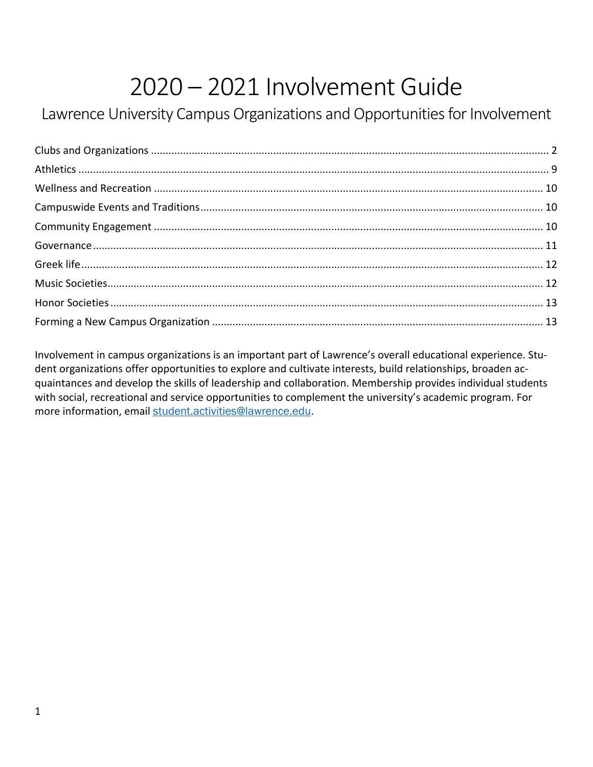# 2020 – 2021 Involvement Guide

# Lawrence University Campus Organizations and Opportunities for Involvement

Involvement in campus organizations is an important part of Lawrence's overall educational experience. Student organizations offer opportunities to explore and cultivate interests, build relationships, broaden acquaintances and develop the skills of leadership and collaboration. Membership provides individual students with social, recreational and service opportunities to complement the university's academic program. For more information, email [student.activities@lawrence.edu](mailto:student.activities@lawrence.edu).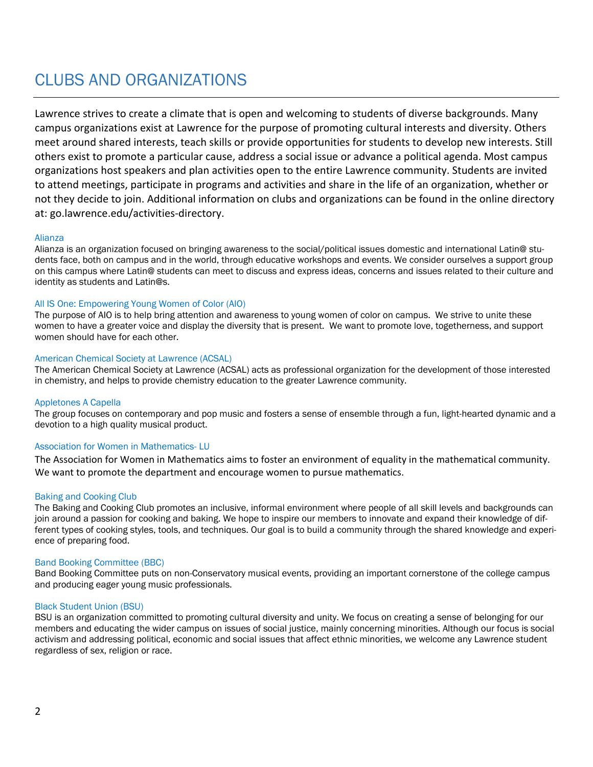# <span id="page-1-0"></span>CLUBS AND ORGANIZATIONS

Lawrence strives to create a climate that is open and welcoming to students of diverse backgrounds. Many campus organizations exist at Lawrence for the purpose of promoting cultural interests and diversity. Others meet around shared interests, teach skills or provide opportunities for students to develop new interests. Still others exist to promote a particular cause, address a social issue or advance a political agenda. Most campus organizations host speakers and plan activities open to the entire Lawrence community. Students are invited to attend meetings, participate in programs and activities and share in the life of an organization, whether or not they decide to join. Additional information on clubs and organizations can be found in the online directory at: go.lawrence.edu/activities-directory.

#### Alianza

Alianza is an organization focused on bringing awareness to the social/political issues domestic and international Latin@ students face, both on campus and in the world, through educative workshops and events. We consider ourselves a support group on this campus where Latin@ students can meet to discuss and express ideas, concerns and issues related to their culture and identity as students and Latin@s.

#### All IS One: Empowering Young Women of Color (AIO)

The purpose of AIO is to help bring attention and awareness to young women of color on campus. We strive to unite these women to have a greater voice and display the diversity that is present. We want to promote love, togetherness, and support women should have for each other.

#### American Chemical Society at Lawrence (ACSAL)

The American Chemical Society at Lawrence (ACSAL) acts as professional organization for the development of those interested in chemistry, and helps to provide chemistry education to the greater Lawrence community.

#### Appletones A Capella

The group focuses on contemporary and pop music and fosters a sense of ensemble through a fun, light-hearted dynamic and a devotion to a high quality musical product.

#### Association for Women in Mathematics- LU

The Association for Women in Mathematics aims to foster an environment of equality in the mathematical community. We want to promote the department and encourage women to pursue mathematics.

#### Baking and Cooking Club

The Baking and Cooking Club promotes an inclusive, informal environment where people of all skill levels and backgrounds can join around a passion for cooking and baking. We hope to inspire our members to innovate and expand their knowledge of different types of cooking styles, tools, and techniques. Our goal is to build a community through the shared knowledge and experience of preparing food.

#### Band Booking Committee (BBC)

Band Booking Committee puts on non-Conservatory musical events, providing an important cornerstone of the college campus and producing eager young music professionals.

#### Black Student Union (BSU)

BSU is an organization committed to promoting cultural diversity and unity. We focus on creating a sense of belonging for our members and educating the wider campus on issues of social justice, mainly concerning minorities. Although our focus is social activism and addressing political, economic and social issues that affect ethnic minorities, we welcome any Lawrence student regardless of sex, religion or race.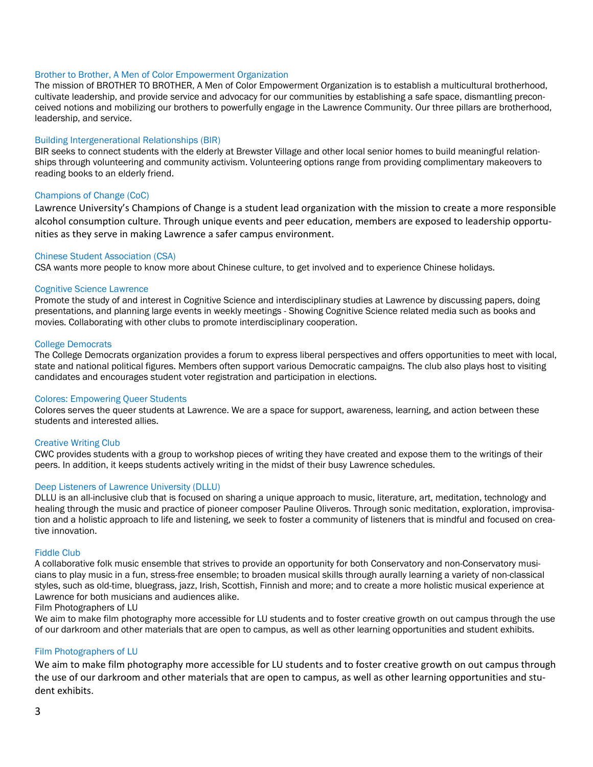#### Brother to Brother, A Men of Color Empowerment Organization

The mission of BROTHER TO BROTHER, A Men of Color Empowerment Organization is to establish a multicultural brotherhood, cultivate leadership, and provide service and advocacy for our communities by establishing a safe space, dismantling preconceived notions and mobilizing our brothers to powerfully engage in the Lawrence Community. Our three pillars are brotherhood, leadership, and service.

#### Building Intergenerational Relationships (BIR)

BIR seeks to connect students with the elderly at Brewster Village and other local senior homes to build meaningful relationships through volunteering and community activism. Volunteering options range from providing complimentary makeovers to reading books to an elderly friend.

#### Champions of Change (CoC)

Lawrence University's Champions of Change is a student lead organization with the mission to create a more responsible alcohol consumption culture. Through unique events and peer education, members are exposed to leadership opportunities as they serve in making Lawrence a safer campus environment.

#### Chinese Student Association (CSA)

CSA wants more people to know more about Chinese culture, to get involved and to experience Chinese holidays.

#### Cognitive Science Lawrence

Promote the study of and interest in Cognitive Science and interdisciplinary studies at Lawrence by discussing papers, doing presentations, and planning large events in weekly meetings - Showing Cognitive Science related media such as books and movies. Collaborating with other clubs to promote interdisciplinary cooperation.

#### College Democrats

The College Democrats organization provides a forum to express liberal perspectives and offers opportunities to meet with local, state and national political figures. Members often support various Democratic campaigns. The club also plays host to visiting candidates and encourages student voter registration and participation in elections.

#### Colores: Empowering Queer Students

Colores serves the queer students at Lawrence. We are a space for support, awareness, learning, and action between these students and interested allies.

#### Creative Writing Club

CWC provides students with a group to workshop pieces of writing they have created and expose them to the writings of their peers. In addition, it keeps students actively writing in the midst of their busy Lawrence schedules.

#### Deep Listeners of Lawrence University (DLLU)

DLLU is an all-inclusive club that is focused on sharing a unique approach to music, literature, art, meditation, technology and healing through the music and practice of pioneer composer Pauline Oliveros. Through sonic meditation, exploration, improvisation and a holistic approach to life and listening, we seek to foster a community of listeners that is mindful and focused on creative innovation.

#### Fiddle Club

A collaborative folk music ensemble that strives to provide an opportunity for both Conservatory and non-Conservatory musicians to play music in a fun, stress-free ensemble; to broaden musical skills through aurally learning a variety of non-classical styles, such as old-time, bluegrass, jazz, Irish, Scottish, Finnish and more; and to create a more holistic musical experience at Lawrence for both musicians and audiences alike.

#### Film Photographers of LU

We aim to make film photography more accessible for LU students and to foster creative growth on out campus through the use of our darkroom and other materials that are open to campus, as well as other learning opportunities and student exhibits.

#### Film Photographers of LU

We aim to make film photography more accessible for LU students and to foster creative growth on out campus through the use of our darkroom and other materials that are open to campus, as well as other learning opportunities and student exhibits.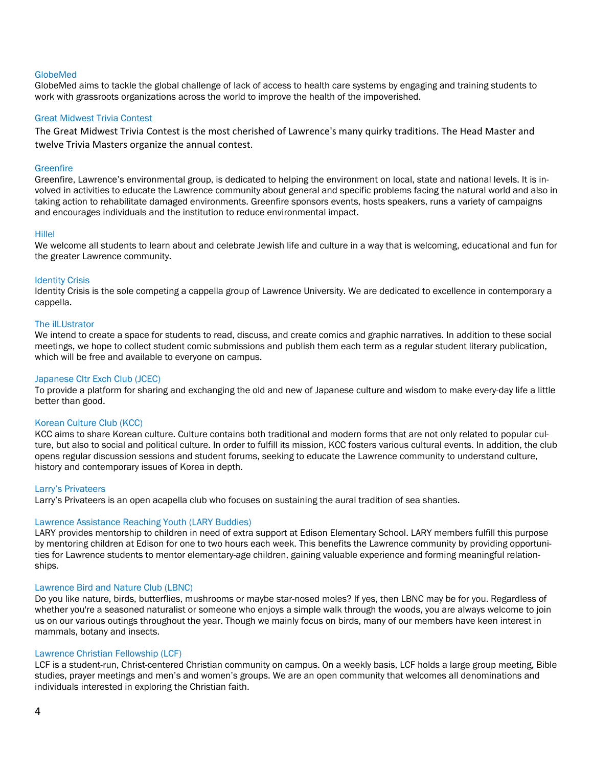#### GlobeMed

GlobeMed aims to tackle the global challenge of lack of access to health care systems by engaging and training students to work with grassroots organizations across the world to improve the health of the impoverished.

#### Great Midwest Trivia Contest

The Great Midwest Trivia Contest is the most cherished of Lawrence's many quirky traditions. The Head Master and twelve Trivia Masters organize the annual contest.

#### **Greenfire**

Greenfire, Lawrence's environmental group, is dedicated to helping the environment on local, state and national levels. It is involved in activities to educate the Lawrence community about general and specific problems facing the natural world and also in taking action to rehabilitate damaged environments. Greenfire sponsors events, hosts speakers, runs a variety of campaigns and encourages individuals and the institution to reduce environmental impact.

#### Hillel

We welcome all students to learn about and celebrate Jewish life and culture in a way that is welcoming, educational and fun for the greater Lawrence community.

#### Identity Crisis

Identity Crisis is the sole competing a cappella group of Lawrence University. We are dedicated to excellence in contemporary a cappella.

#### The ilLUstrator

We intend to create a space for students to read, discuss, and create comics and graphic narratives. In addition to these social meetings, we hope to collect student comic submissions and publish them each term as a regular student literary publication, which will be free and available to everyone on campus.

#### Japanese Cltr Exch Club (JCEC)

To provide a platform for sharing and exchanging the old and new of Japanese culture and wisdom to make every-day life a little better than good.

#### Korean Culture Club (KCC)

KCC aims to share Korean culture. Culture contains both traditional and modern forms that are not only related to popular culture, but also to social and political culture. In order to fulfill its mission, KCC fosters various cultural events. In addition, the club opens regular discussion sessions and student forums, seeking to educate the Lawrence community to understand culture, history and contemporary issues of Korea in depth.

#### Larry's Privateers

Larry's Privateers is an open acapella club who focuses on sustaining the aural tradition of sea shanties.

#### Lawrence Assistance Reaching Youth (LARY Buddies)

LARY provides mentorship to children in need of extra support at Edison Elementary School. LARY members fulfill this purpose by mentoring children at Edison for one to two hours each week. This benefits the Lawrence community by providing opportunities for Lawrence students to mentor elementary-age children, gaining valuable experience and forming meaningful relationships.

#### Lawrence Bird and Nature Club (LBNC)

Do you like nature, birds, butterflies, mushrooms or maybe star-nosed moles? If yes, then LBNC may be for you. Regardless of whether you're a seasoned naturalist or someone who enjoys a simple walk through the woods, you are always welcome to join us on our various outings throughout the year. Though we mainly focus on birds, many of our members have keen interest in mammals, botany and insects.

#### Lawrence Christian Fellowship (LCF)

LCF is a student-run, Christ-centered Christian community on campus. On a weekly basis, LCF holds a large group meeting, Bible studies, prayer meetings and men's and women's groups. We are an open community that welcomes all denominations and individuals interested in exploring the Christian faith.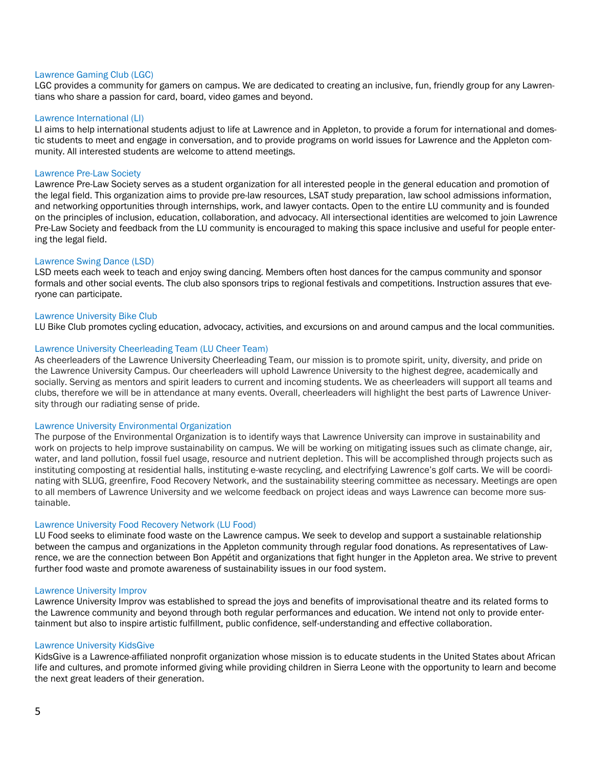#### Lawrence Gaming Club (LGC)

LGC provides a community for gamers on campus. We are dedicated to creating an inclusive, fun, friendly group for any Lawrentians who share a passion for card, board, video games and beyond.

#### Lawrence International (LI)

LI aims to help international students adjust to life at Lawrence and in Appleton, to provide a forum for international and domestic students to meet and engage in conversation, and to provide programs on world issues for Lawrence and the Appleton community. All interested students are welcome to attend meetings.

#### Lawrence Pre-Law Society

Lawrence Pre-Law Society serves as a student organization for all interested people in the general education and promotion of the legal field. This organization aims to provide pre-law resources, LSAT study preparation, law school admissions information, and networking opportunities through internships, work, and lawyer contacts. Open to the entire LU community and is founded on the principles of inclusion, education, collaboration, and advocacy. All intersectional identities are welcomed to join Lawrence Pre-Law Society and feedback from the LU community is encouraged to making this space inclusive and useful for people entering the legal field.

#### Lawrence Swing Dance (LSD)

LSD meets each week to teach and enjoy swing dancing. Members often host dances for the campus community and sponsor formals and other social events. The club also sponsors trips to regional festivals and competitions. Instruction assures that everyone can participate.

#### Lawrence University Bike Club

LU Bike Club promotes cycling education, advocacy, activities, and excursions on and around campus and the local communities.

#### Lawrence University Cheerleading Team (LU Cheer Team)

As cheerleaders of the Lawrence University Cheerleading Team, our mission is to promote spirit, unity, diversity, and pride on the Lawrence University Campus. Our cheerleaders will uphold Lawrence University to the highest degree, academically and socially. Serving as mentors and spirit leaders to current and incoming students. We as cheerleaders will support all teams and clubs, therefore we will be in attendance at many events. Overall, cheerleaders will highlight the best parts of Lawrence University through our radiating sense of pride.

#### Lawrence University Environmental Organization

The purpose of the Environmental Organization is to identify ways that Lawrence University can improve in sustainability and work on projects to help improve sustainability on campus. We will be working on mitigating issues such as climate change, air, water, and land pollution, fossil fuel usage, resource and nutrient depletion. This will be accomplished through projects such as instituting composting at residential halls, instituting e-waste recycling, and electrifying Lawrence's golf carts. We will be coordinating with SLUG, greenfire, Food Recovery Network, and the sustainability steering committee as necessary. Meetings are open to all members of Lawrence University and we welcome feedback on project ideas and ways Lawrence can become more sustainable.

#### Lawrence University Food Recovery Network (LU Food)

LU Food seeks to eliminate food waste on the Lawrence campus. We seek to develop and support a sustainable relationship between the campus and organizations in the Appleton community through regular food donations. As representatives of Lawrence, we are the connection between Bon Appétit and organizations that fight hunger in the Appleton area. We strive to prevent further food waste and promote awareness of sustainability issues in our food system.

#### Lawrence University Improv

Lawrence University Improv was established to spread the joys and benefits of improvisational theatre and its related forms to the Lawrence community and beyond through both regular performances and education. We intend not only to provide entertainment but also to inspire artistic fulfillment, public confidence, self-understanding and effective collaboration.

#### Lawrence University KidsGive

KidsGive is a Lawrence-affiliated nonprofit organization whose mission is to educate students in the United States about African life and cultures, and promote informed giving while providing children in Sierra Leone with the opportunity to learn and become the next great leaders of their generation.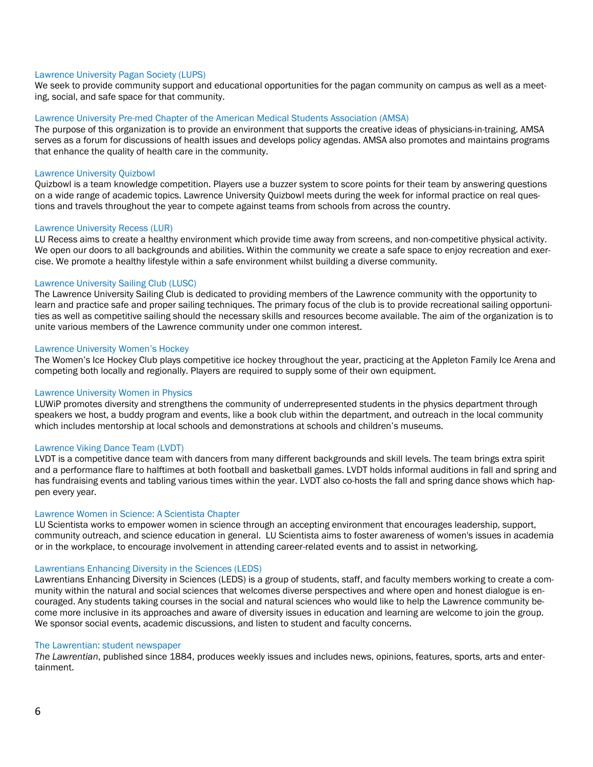#### Lawrence University Pagan Society (LUPS)

We seek to provide community support and educational opportunities for the pagan community on campus as well as a meeting, social, and safe space for that community.

#### Lawrence University Pre-med Chapter of the American Medical Students Association (AMSA)

The purpose of this organization is to provide an environment that supports the creative ideas of physicians-in-training. AMSA serves as a forum for discussions of health issues and develops policy agendas. AMSA also promotes and maintains programs that enhance the quality of health care in the community.

#### Lawrence University Quizbowl

Quizbowl is a team knowledge competition. Players use a buzzer system to score points for their team by answering questions on a wide range of academic topics. Lawrence University Quizbowl meets during the week for informal practice on real questions and travels throughout the year to compete against teams from schools from across the country.

#### Lawrence University Recess (LUR)

LU Recess aims to create a healthy environment which provide time away from screens, and non-competitive physical activity. We open our doors to all backgrounds and abilities. Within the community we create a safe space to enjoy recreation and exercise. We promote a healthy lifestyle within a safe environment whilst building a diverse community.

#### Lawrence University Sailing Club (LUSC)

The Lawrence University Sailing Club is dedicated to providing members of the Lawrence community with the opportunity to learn and practice safe and proper sailing techniques. The primary focus of the club is to provide recreational sailing opportunities as well as competitive sailing should the necessary skills and resources become available. The aim of the organization is to unite various members of the Lawrence community under one common interest.

#### Lawrence University Women's Hockey

The Women's Ice Hockey Club plays competitive ice hockey throughout the year, practicing at the Appleton Family Ice Arena and competing both locally and regionally. Players are required to supply some of their own equipment.

#### Lawrence University Women in Physics

LUWiP promotes diversity and strengthens the community of underrepresented students in the physics department through speakers we host, a buddy program and events, like a book club within the department, and outreach in the local community which includes mentorship at local schools and demonstrations at schools and children's museums.

#### Lawrence Viking Dance Team (LVDT)

LVDT is a competitive dance team with dancers from many different backgrounds and skill levels. The team brings extra spirit and a performance flare to halftimes at both football and basketball games. LVDT holds informal auditions in fall and spring and has fundraising events and tabling various times within the year. LVDT also co-hosts the fall and spring dance shows which happen every year.

#### Lawrence Women in Science: A Scientista Chapter

LU Scientista works to empower women in science through an accepting environment that encourages leadership, support, community outreach, and science education in general. LU Scientista aims to foster awareness of women's issues in academia or in the workplace, to encourage involvement in attending career-related events and to assist in networking.

#### Lawrentians Enhancing Diversity in the Sciences (LEDS)

Lawrentians Enhancing Diversity in Sciences (LEDS) is a group of students, staff, and faculty members working to create a community within the natural and social sciences that welcomes diverse perspectives and where open and honest dialogue is encouraged. Any students taking courses in the social and natural sciences who would like to help the Lawrence community become more inclusive in its approaches and aware of diversity issues in education and learning are welcome to join the group. We sponsor social events, academic discussions, and listen to student and faculty concerns.

#### The Lawrentian: student newspaper

*The Lawrentian*, published since 1884, produces weekly issues and includes news, opinions, features, sports, arts and entertainment.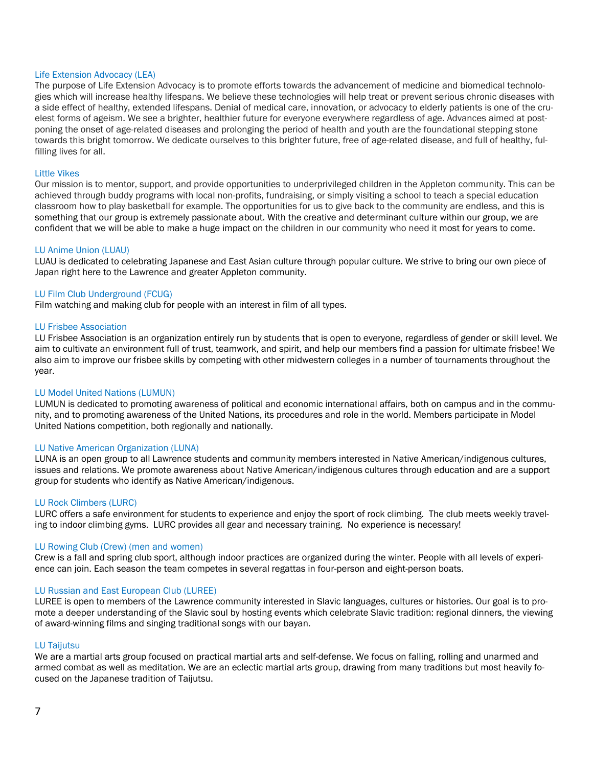#### Life Extension Advocacy (LEA)

The purpose of Life Extension Advocacy is to promote efforts towards the advancement of medicine and biomedical technologies which will increase healthy lifespans. We believe these technologies will help treat or prevent serious chronic diseases with a side effect of healthy, extended lifespans. Denial of medical care, innovation, or advocacy to elderly patients is one of the cruelest forms of ageism. We see a brighter, healthier future for everyone everywhere regardless of age. Advances aimed at postponing the onset of age-related diseases and prolonging the period of health and youth are the foundational stepping stone towards this bright tomorrow. We dedicate ourselves to this brighter future, free of age-related disease, and full of healthy, fulfilling lives for all.

#### Little Vikes

Our mission is to mentor, support, and provide opportunities to underprivileged children in the Appleton community. This can be achieved through buddy programs with local non-profits, fundraising, or simply visiting a school to teach a special education classroom how to play basketball for example. The opportunities for us to give back to the community are endless, and this is something that our group is extremely passionate about. With the creative and determinant culture within our group, we are confident that we will be able to make a huge impact on the children in our community who need it most for years to come.

#### LU Anime Union (LUAU)

LUAU is dedicated to celebrating Japanese and East Asian culture through popular culture. We strive to bring our own piece of Japan right here to the Lawrence and greater Appleton community.

#### LU Film Club Underground (FCUG)

Film watching and making club for people with an interest in film of all types.

#### LU Frisbee Association

LU Frisbee Association is an organization entirely run by students that is open to everyone, regardless of gender or skill level. We aim to cultivate an environment full of trust, teamwork, and spirit, and help our members find a passion for ultimate frisbee! We also aim to improve our frisbee skills by competing with other midwestern colleges in a number of tournaments throughout the year.

#### LU Model United Nations (LUMUN)

LUMUN is dedicated to promoting awareness of political and economic international affairs, both on campus and in the community, and to promoting awareness of the United Nations, its procedures and role in the world. Members participate in Model United Nations competition, both regionally and nationally.

#### LU Native American Organization (LUNA)

LUNA is an open group to all Lawrence students and community members interested in Native American/indigenous cultures, issues and relations. We promote awareness about Native American/indigenous cultures through education and are a support group for students who identify as Native American/indigenous.

#### LU Rock Climbers (LURC)

LURC offers a safe environment for students to experience and enjoy the sport of rock climbing. The club meets weekly traveling to indoor climbing gyms. LURC provides all gear and necessary training. No experience is necessary!

#### LU Rowing Club (Crew) (men and women)

Crew is a fall and spring club sport, although indoor practices are organized during the winter. People with all levels of experience can join. Each season the team competes in several regattas in four-person and eight-person boats.

#### LU Russian and East European Club (LUREE)

LUREE is open to members of the Lawrence community interested in Slavic languages, cultures or histories. Our goal is to promote a deeper understanding of the Slavic soul by hosting events which celebrate Slavic tradition: regional dinners, the viewing of award-winning films and singing traditional songs with our bayan.

#### LU Taijutsu

We are a martial arts group focused on practical martial arts and self-defense. We focus on falling, rolling and unarmed and armed combat as well as meditation. We are an eclectic martial arts group, drawing from many traditions but most heavily focused on the Japanese tradition of Taijutsu.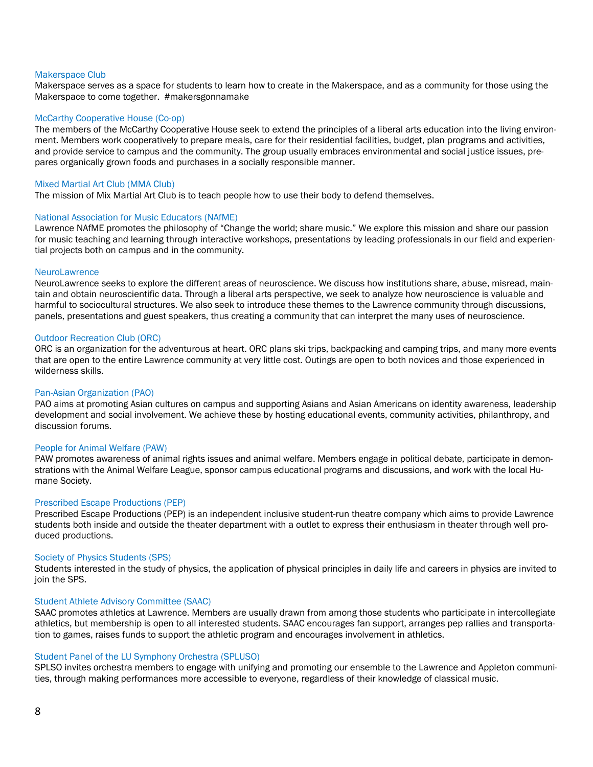#### Makerspace Club

Makerspace serves as a space for students to learn how to create in the Makerspace, and as a community for those using the Makerspace to come together. #makersgonnamake

#### McCarthy Cooperative House (Co-op)

The members of the McCarthy Cooperative House seek to extend the principles of a liberal arts education into the living environment. Members work cooperatively to prepare meals, care for their residential facilities, budget, plan programs and activities, and provide service to campus and the community. The group usually embraces environmental and social justice issues, prepares organically grown foods and purchases in a socially responsible manner.

#### Mixed Martial Art Club (MMA Club)

The mission of Mix Martial Art Club is to teach people how to use their body to defend themselves.

#### National Association for Music Educators (NAfME)

Lawrence NAfME promotes the philosophy of "Change the world; share music." We explore this mission and share our passion for music teaching and learning through interactive workshops, presentations by leading professionals in our field and experiential projects both on campus and in the community.

#### **NeuroLawrence**

NeuroLawrence seeks to explore the different areas of neuroscience. We discuss how institutions share, abuse, misread, maintain and obtain neuroscientific data. Through a liberal arts perspective, we seek to analyze how neuroscience is valuable and harmful to sociocultural structures. We also seek to introduce these themes to the Lawrence community through discussions, panels, presentations and guest speakers, thus creating a community that can interpret the many uses of neuroscience.

#### Outdoor Recreation Club (ORC)

ORC is an organization for the adventurous at heart. ORC plans ski trips, backpacking and camping trips, and many more events that are open to the entire Lawrence community at very little cost. Outings are open to both novices and those experienced in wilderness skills.

#### Pan-Asian Organization (PAO)

PAO aims at promoting Asian cultures on campus and supporting Asians and Asian Americans on identity awareness, leadership development and social involvement. We achieve these by hosting educational events, community activities, philanthropy, and discussion forums.

#### People for Animal Welfare (PAW)

PAW promotes awareness of animal rights issues and animal welfare. Members engage in political debate, participate in demonstrations with the Animal Welfare League, sponsor campus educational programs and discussions, and work with the local Humane Society.

#### Prescribed Escape Productions (PEP)

Prescribed Escape Productions (PEP) is an independent inclusive student-run theatre company which aims to provide Lawrence students both inside and outside the theater department with a outlet to express their enthusiasm in theater through well produced productions.

#### Society of Physics Students (SPS)

Students interested in the study of physics, the application of physical principles in daily life and careers in physics are invited to join the SPS.

#### Student Athlete Advisory Committee (SAAC)

SAAC promotes athletics at Lawrence. Members are usually drawn from among those students who participate in intercollegiate athletics, but membership is open to all interested students. SAAC encourages fan support, arranges pep rallies and transportation to games, raises funds to support the athletic program and encourages involvement in athletics.

#### Student Panel of the LU Symphony Orchestra (SPLUSO)

SPLSO invites orchestra members to engage with unifying and promoting our ensemble to the Lawrence and Appleton communities, through making performances more accessible to everyone, regardless of their knowledge of classical music.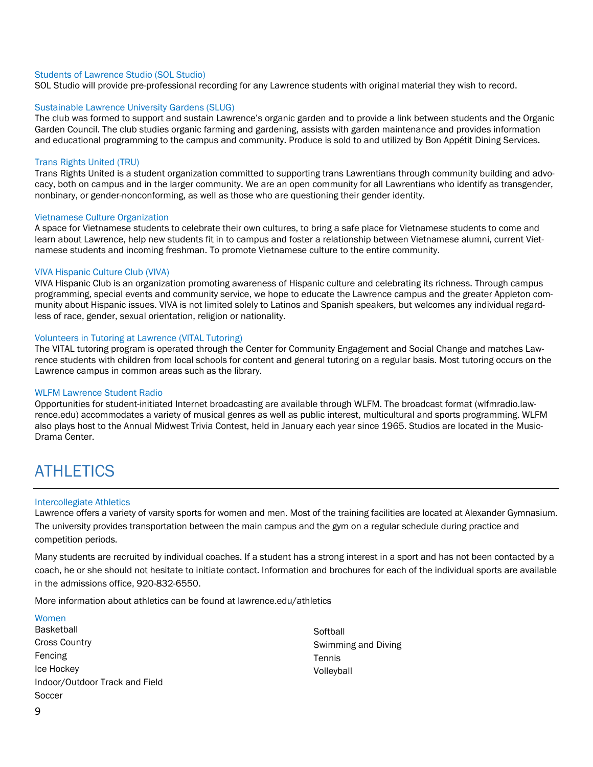#### Students of Lawrence Studio (SOL Studio)

SOL Studio will provide pre-professional recording for any Lawrence students with original material they wish to record.

#### Sustainable Lawrence University Gardens (SLUG)

The club was formed to support and sustain Lawrence's organic garden and to provide a link between students and the Organic Garden Council. The club studies organic farming and gardening, assists with garden maintenance and provides information and educational programming to the campus and community. Produce is sold to and utilized by Bon Appétit Dining Services.

#### Trans Rights United (TRU)

Trans Rights United is a student organization committed to supporting trans Lawrentians through community building and advocacy, both on campus and in the larger community. We are an open community for all Lawrentians who identify as transgender, nonbinary, or gender-nonconforming, as well as those who are questioning their gender identity.

#### Vietnamese Culture Organization

A space for Vietnamese students to celebrate their own cultures, to bring a safe place for Vietnamese students to come and learn about Lawrence, help new students fit in to campus and foster a relationship between Vietnamese alumni, current Vietnamese students and incoming freshman. To promote Vietnamese culture to the entire community.

#### VIVA Hispanic Culture Club (VIVA)

VIVA Hispanic Club is an organization promoting awareness of Hispanic culture and celebrating its richness. Through campus programming, special events and community service, we hope to educate the Lawrence campus and the greater Appleton community about Hispanic issues. VIVA is not limited solely to Latinos and Spanish speakers, but welcomes any individual regardless of race, gender, sexual orientation, religion or nationality.

#### Volunteers in Tutoring at Lawrence (VITAL Tutoring)

The VITAL tutoring program is operated through the Center for Community Engagement and Social Change and matches Lawrence students with children from local schools for content and general tutoring on a regular basis. Most tutoring occurs on the Lawrence campus in common areas such as the library.

#### WLFM Lawrence Student Radio

Opportunities for student-initiated Internet broadcasting are available through WLFM. The broadcast format (wlfmradio.lawrence.edu) accommodates a variety of musical genres as well as public interest, multicultural and sports programming. WLFM also plays host to the Annual Midwest Trivia Contest, held in January each year since 1965. Studios are located in the Music-Drama Center.

### <span id="page-8-0"></span>**ATHLETICS**

#### Intercollegiate Athletics

Lawrence offers a variety of varsity sports for women and men. Most of the training facilities are located at Alexander Gymnasium. The university provides transportation between the main campus and the gym on a regular schedule during practice and competition periods.

Many students are recruited by individual coaches. If a student has a strong interest in a sport and has not been contacted by a coach, he or she should not hesitate to initiate contact. Information and brochures for each of the individual sports are available in the admissions office, 920-832-6550.

More information about athletics can be found at lawrence.edu/athletics

#### Women

Basketball Cross Country Fencing Ice Hockey Indoor/Outdoor Track and Field **Soccer** 

**Softball** Swimming and Diving **Tennis** Volleyball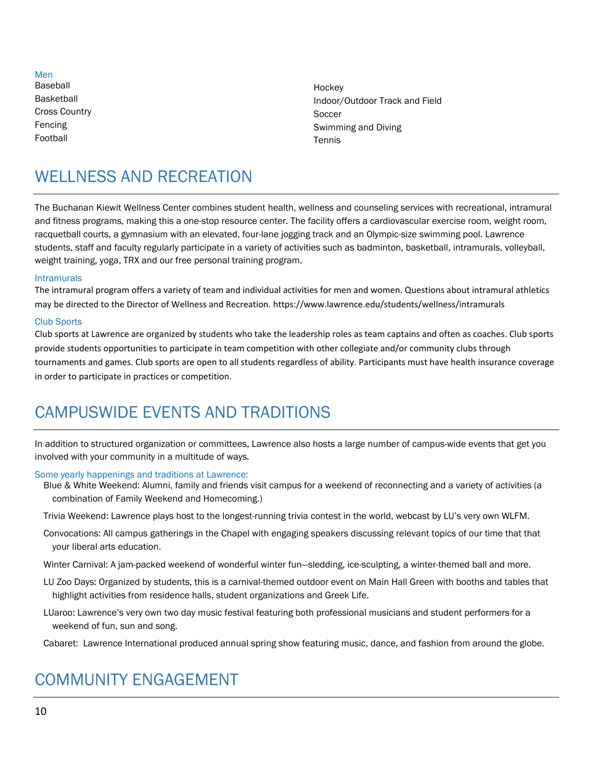Men Baseball Basketball Cross Country Fencing Football

**Hockey** Indoor/Outdoor Track and Field Soccer Swimming and Diving Tennis

# <span id="page-9-0"></span>WELL NESS AND RECREATION

The Buchanan Kiewit Wellness Center combines student health, wellness and counseling services with recreational, intramural and fitness programs, making this a one-stop resource center. The facility offers a cardiovascular exercise room, weight room, racquetball courts, a gymnasium with an elevated, four-lane jogging track and an Olympic-size swimming pool. Lawrence students, staff and faculty regularly participate in a variety of activities such as badminton, basketball, intramurals, volleyball, weight training, yoga, TRX and our free personal training program.

#### Intramurals

The intramural program offers a variety of team and individual activities for men and women. Questions about intramural athletics may be directed to the Director of Wellness and Recreation. https://www.lawrence.edu/students/wellness/intramurals

#### Club Sports

Club sports at Lawrence are organized by students who take the leadership roles as team captains and often as coaches. Club sports provide students opportunities to participate in team competition with other collegiate and/or community clubs through tournaments and games. Club sports are open to all students regardless of ability. Participants must have health insurance coverage in order to participate in practices or competition.

# <span id="page-9-1"></span>CAMPUSWIDE EVENTS AND TRADITIONS

In addition to structured organization or committees, Lawrence also hosts a large number of campus-wide events that get you involved with your community in a multitude of ways.

#### Some yearly happenings and traditions at Lawrence:

Blue & White Weekend: Alumni, family and friends visit campus for a weekend of reconnecting and a variety of activities (a combination of Family Weekend and Homecoming.)

Trivia Weekend: Lawrence plays host to the longest-running trivia contest in the world, webcast by LU's very own WLFM.

Convocations: All campus gatherings in the Chapel with engaging speakers discussing relevant topics of our time that that your liberal arts education.

Winter Carnival: A jam-packed weekend of wonderful winter fun—sledding, ice-sculpting, a winter-themed ball and more.

- LU Zoo Days: Organized by students, this is a carnival-themed outdoor event on Main Hall Green with booths and tables that highlight activities from residence halls, student organizations and Greek Life.
- LUaroo: Lawrence's very own two day music festival featuring both professional musicians and student performers for a weekend of fun, sun and song.

Cabaret: Lawrence International produced annual spring show featuring music, dance, and fashion from around the globe.

# <span id="page-9-2"></span>COMMUNITY ENGAGEMENT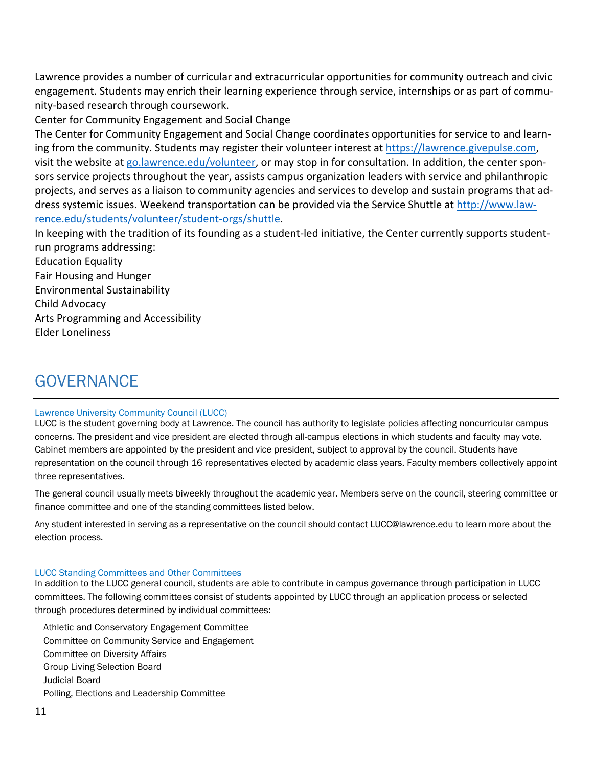Lawrence provides a number of curricular and extracurricular opportunities for community outreach and civic engagement. Students may enrich their learning experience through service, internships or as part of community-based research through coursework.

Center for Community Engagement and Social Change

The Center for Community Engagement and Social Change coordinates opportunities for service to and learning from the community. Students may register their volunteer interest at [https://lawrence.givepulse.com,](https://lawrence.givepulse.com/) visit the website at [go.lawrence.edu/volunteer,](file://///curtis/campus_share/staff/DOS/Welcome%20Week%202018/Involvement%20Guide/go.lawrence.edu/volunteer) or may stop in for consultation. In addition, the center sponsors service projects throughout the year, assists campus organization leaders with service and philanthropic projects, and serves as a liaison to community agencies and services to develop and sustain programs that address systemic issues. Weekend transportation can be provided via the Service Shuttle at [http://www.law](http://www.lawrence.edu/students/volunteer/student-orgs/shuttle)[rence.edu/students/volunteer/student-orgs/shuttle.](http://www.lawrence.edu/students/volunteer/student-orgs/shuttle)

In keeping with the tradition of its founding as a student-led initiative, the Center currently supports studentrun programs addressing:

Education Equality Fair Housing and Hunger Environmental Sustainability Child Advocacy Arts Programming and Accessibility Elder Loneliness

## <span id="page-10-0"></span>GOVERNANCE

#### Lawrence University Community Council (LUCC)

LUCC is the student governing body at Lawrence. The council has authority to legislate policies affecting noncurricular campus concerns. The president and vice president are elected through all-campus elections in which students and faculty may vote. Cabinet members are appointed by the president and vice president, subject to approval by the council. Students have representation on the council through 16 representatives elected by academic class years. Faculty members collectively appoint three representatives.

The general council usually meets biweekly throughout the academic year. Members serve on the council, steering committee or finance committee and one of the standing committees listed below.

Any student interested in serving as a representative on the council should contact LUCC@lawrence.edu to learn more about the election process.

#### LUCC Standing Committees and Other Committees

In addition to the LUCC general council, students are able to contribute in campus governance through participation in LUCC committees. The following committees consist of students appointed by LUCC through an application process or selected through procedures determined by individual committees:

Athletic and Conservatory Engagement Committee Committee on Community Service and Engagement Committee on Diversity Affairs Group Living Selection Board Judicial Board Polling, Elections and Leadership Committee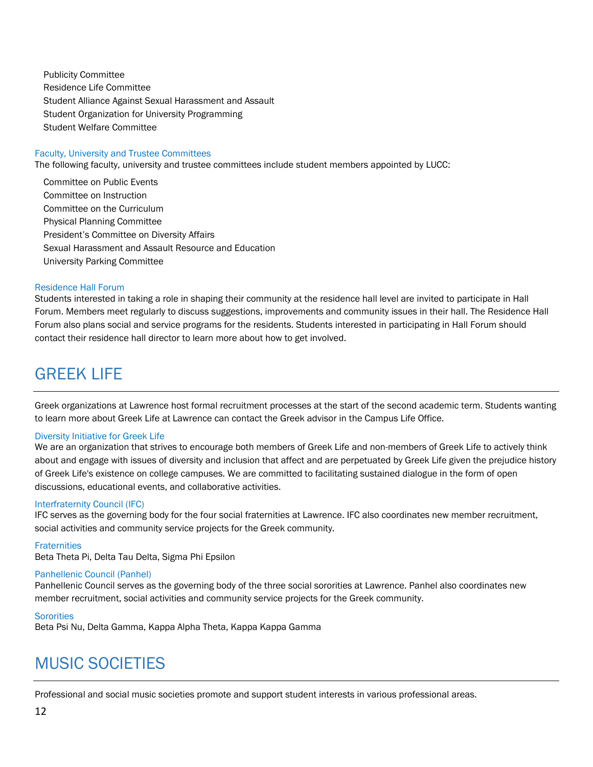Publicity Committee Residence Life Committee Student Alliance Against Sexual Harassment and Assault Student Organization for University Programming Student Welfare Committee

#### Faculty, University and Trustee Committees

The following faculty, university and trustee committees include student members appointed by LUCC:

Committee on Public Events Committee on Instruction Committee on the Curriculum Physical Planning Committee President's Committee on Diversity Affairs Sexual Harassment and Assault Resource and Education University Parking Committee

#### Residence Hall Forum

Students interested in taking a role in shaping their community at the residence hall level are invited to participate in Hall Forum. Members meet regularly to discuss suggestions, improvements and community issues in their hall. The Residence Hall Forum also plans social and service programs for the residents. Students interested in participating in Hall Forum should contact their residence hall director to learn more about how to get involved.

### <span id="page-11-0"></span>GREEK LIFE

Greek organizations at Lawrence host formal recruitment processes at the start of the second academic term. Students wanting to learn more about Greek Life at Lawrence can contact the Greek advisor in the Campus Life Office.

#### Diversity Initiative for Greek Life

We are an organization that strives to encourage both members of Greek Life and non-members of Greek Life to actively think about and engage with issues of diversity and inclusion that affect and are perpetuated by Greek Life given the prejudice history of Greek Life's existence on college campuses. We are committed to facilitating sustained dialogue in the form of open discussions, educational events, and collaborative activities.

#### Interfraternity Council (IFC)

IFC serves as the governing body for the four social fraternities at Lawrence. IFC also coordinates new member recruitment, social activities and community service projects for the Greek community.

#### **Fraternities**

Beta Theta Pi, Delta Tau Delta, Sigma Phi Epsilon

#### Panhellenic Council (Panhel)

Panhellenic Council serves as the governing body of the three social sororities at Lawrence. Panhel also coordinates new member recruitment, social activities and community service projects for the Greek community.

#### **Sororities**

Beta Psi Nu, Delta Gamma, Kappa Alpha Theta, Kappa Kappa Gamma

### <span id="page-11-1"></span>MUSIC SOCIETIES

Professional and social music societies promote and support student interests in various professional areas.